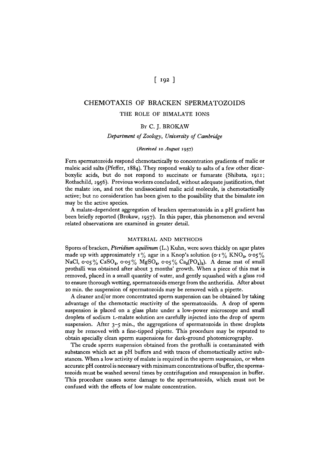## $\lceil$  192 ]

# CHEMOTAXIS OF BRACKEN SPERMATOZOIDS THE ROLE OF BIMALATE IONS

## BY C. J. BROKAW

*Department of Zoology, University of Cambridge*

### *(Received* 10 *August* 1957)

Fern spermatozoids respond chemotactically to concentration gradients of malic or maleic acid salts (Pfeffer, 1884). They respond weakly to salts of a few other dicarboxylic acids, but do not respond to succinate or fumarate (Shibata, 1911; Rothschild, 1956). Previous workers concluded, without adequate justification, that the malate ion, and not the undissociated malic acid molecule, is chemotactically active; but no consideration has been given to the possibility that the bimalate ion may be the active species.

A malate-dependent aggregation of bracken spermatozoids in a pH gradient has been briefly reported (Brokaw, 1957). In this paper, this phenomenon and several related observations are examined in greater detail.

### MATERIAL AND METHODS

Spores of bracken, *Pteridium aquilinum* (L.) Kuhn, were sown thickly on agar plates made up with approximately 1% agar in a Knop's solution (o.1% KNO3, 0.05%) NaCl,  $0.05\%$  CaSO<sub>4</sub>,  $0.05\%$  MgSO<sub>4</sub>,  $0.05\%$  Ca<sub>3</sub>(PO<sub>4</sub>)<sub>2</sub>). A dense mat of small prothalli was obtained after about 3 months' growth. When a piece of this mat is removed, placed in a small quantity of water, and gently squashed with a glass rod to ensure thorough wetting, spermatozoids emerge from the antheridia. After about 20 min. the suspension of spermatozoids may be removed with a pipette.

A cleaner and/or more concentrated sperm suspension can be obtained by taking advantage of the chemotactic reactivity of the spermatozoids. A drop of sperm suspension is placed on a glass plate under a low-power microscope and small droplets of sodium L-malate solution are carefully injected into the drop of sperm suspension. After  $3-\xi$  min., the aggregations of spermatozoids in these droplets may be removed with a fine-tipped pipette. This procedure may be repeated to obtain specially clean sperm suspensions for dark-ground photomicrography.

The crude sperm suspension obtained from the prothalli is contaminated with substances which act as pH buffers and with traces of chemotactically active substances. When a low activity of malate is required in the sperm suspension, or when accurate pH control is necessary with minimum concentrations of buffer, the spermatozoids must be washed several times by centrifugation and resuspension in buffer. This procedure causes some damage to the spermatozoids, which must not be confused with the effects of low malate concentration.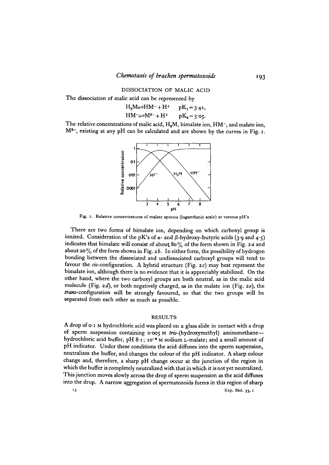DISSOCIATION OF MALIC ACID

The dissociation of malic acid can be represented by

 $H_2M \rightleftharpoons H M^- + H^+$  $pK_1 = 3.41$ ,  $HM^- \rightleftharpoons M^{2-} + H^+$  $pK_2 = 5.05$ .

The relative concentrations of malic acid,  $H<sub>2</sub>M$ , bimalate ion,  $HM<sub>-</sub>$ , and malate ion, M<sup>2-</sup>, existing at any pH can be calculated and are shown by the curves in Fig. 1.



Fig. i. Relative concentrations of malate species (logarithmic scale) at various pH's

There are two forms of bimalate ion, depending on which carboxyl group is ionized. Consideration of the pK's of  $\alpha$ - and  $\beta$ -hydroxy-butyric acids (3.9 and 4.5) indicates that bimalate will consist of about; 80% of the form shown in Fig. *2 a* and about 20 % of the form shown in Fig. *2b.* In either form, the possibility of hydrogen bonding between the dissociated and undissociated carboxyl groups will tend to favour the cis-configuration. A hybrid structure (Fig. 2c) may best represent the bimalate ion, although there is no evidence that it is appreciably stabilized. On the other hand, where the two carboxyl groups are both neutral, as in the malic acid molecule (Fig. 2*d*), or both negatively charged, as in the malate ion (Fig. 2*e*), the trans-configuration will be strongly favoured, so that the two groups will be separated from each other as much as possible.

## RESULTS

A drop of o-1 M hydrochloric acid was placed on a glass slide in contact with a drop of sperm suspension containing  $0.005$  M tris-(hydroxymethyl) aminomethane hydrochloric acid buffer, pH 8.1; 10<sup>-4</sup> M sodium L-malate; and a small amount of pH indicator. Under these conditions the acid diffuses into the sperm suspension, neutralizes the buffer, and changes the colour of the pH indicator. A sharp colour change and, therefore, a sharp pH change occur at the junction of the region in which the buffer is completely neutralized with that in which it is not yet neutralized. This junction moves slowly across the drop of sperm suspension as the acid diffuses into the drop. A narrow aggregation of spermatozoids forms in this region of sharp

Exp. Biol. 35, 1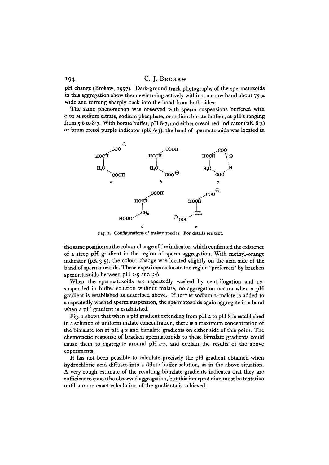## 194 C. J. BROKAW

pH change (Brokaw, 1957). Dark-ground track photographs of the spermatozoids in this aggregation show them swimming actively within a narrow band about  $75 \mu$ wide and turning sharply back into the band from both sides.

The same phenomenon was observed with sperm suspensions buffered with o-oi M sodium citrate, sodium phosphate, or sodium borate buffers, at pH's ranging from 5.6 to 8.7. With borate buffer, pH 8.7, and either cresol red indicator (pK 8.3) or brom cresol purple indicator (pK  $6-3$ ), the band of spermatozoids was located in



Fig. 2. Configurations of malate species. For details see text.

the same position as the colour change of the indicator, which confirmed the existence of a steep pH gradient in the region of sperm aggregation. With methyl-orange indicator (pK  $3.5$ ), the colour change was located slightly on the acid side of the band of spermatozoids. These experiments locate the region ' preferred' by bracken spermatozoids between pH  $3.5$  and  $5.6$ .

When the spermatozoids are repeatedly washed by centrifugation and resuspended in buffer solution without malate, no aggregation occurs when a pH gradient is established as described above. If 10<sup>-5</sup> M sodium L-malate is added to a repeatedly washed sperm suspension, the spermatozoids again aggregate in a band when a pH gradient is established.

Fig. 1 shows that when a pH gradient extending from pH 2 to pH 8 is established in a solution of uniform malate concentration, there is a maximum concentration of the bimalate ion at pH 4-2 and bimalate gradients on either side of this point. The chemotactic response of bracken spermatozoids to these bimalate gradients could cause them to aggregate around pH 4-2, and explain the results of the above experiments.

It has not been possible to calculate precisely the pH gradient obtained when hydrochloric acid diffuses into a dilute buffer solution, as in the above situation. A very rough estimate of the resulting bimalate gradients indicates that they are sufficient to cause the observed aggregation, but this interpretation must be tentative until a more exact calculation of the gradients is achieved.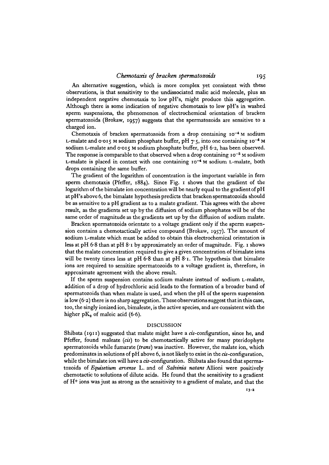An alternative suggestion, which is more complex yet consistent with these observations, is that sensitivity to the undissociated malic acid molecule, plus an independent negative chemotaxis to low pH's, might produce this aggregation. Although there is some indication of negative chemotaxis to low pH's in washed sperm suspensions, the phenomenon of electrochemical orientation of bracken spermatozoids (Brokaw, 1957) suggests that the spermatozoids are sensitive to a charged ion.

Chemotaxis of bracken spermatozoids from a drop containing 10<sup>-4</sup> M sodium L-malate and  $0.015$  M sodium phosphate buffer, pH  $7.5$ , into one containing  $10^{-4}$  M sodium L-malate and 0.015 M sodium phosphate buffer, pH 6.2, has been observed. The response is comparable to that observed when a drop containing  $10^{-3}$  M sodium L-malate is placed in contact with one containing  $i^{\text{-}4}$  M sodium L-malate, both drops containing the same buffer.

The gradient of the logarithm of concentration is the important variable in fern sperm chemotaxis (Pfeffer, 1884). Since Fig. 1 shows that the gradient of the logarithm of the bimalate ion concentration will be nearly equal to the gradient of pH at pH's above 6, the bimalate hypothesis predicts that bracken spermatozoids should be as sensitive to a pH gradient as to a malate gradient. This agrees with the above result, as the gradients set up by the diffusion of sodium phosphates will be of the same order of magnitude as the gradients set up by the diffusion of sodium malate.

Bracken spermatozoids orientate to a voltage gradient only if the sperm suspension contains a chemotactically active compound (Brokaw, 1957). The amount of sodium L-malate which must be added to obtain this electrochemical orientation is less at pH 6-8 than at pH 8-1 by approximately an order of magnitude. Fig. 1 shows that the malate concentration required to give a given concentration of bimalate ions will be twenty times less at  $pH 6.8$  than at  $pH 8.1$ . The hypothesis that bimalate ions are required to sensitize spermatozoids to a voltage gradient is, therefore, in approximate agreement with the above result.

If the sperm suspension contains sodium maleate instead of sodium L-malate, addition of a drop of hydrochloric acid leads to the formation of a broader band of spermatozoids than when malate is used, and when the pH of the sperm suspension is low (6-2) there is no sharp aggregation. These observations suggest that in this case, too, the singly ionized ion, bimaleate, is the active species, and are consistent with the higher  $pK_a$  of maleic acid (6.6).

#### DISCUSSION

Shibata (1911) suggested that malate might have a cis-configuration, since he, and Pfeffer, found maleate  $(cis)$  to be chemotactically active for many pteridophyte spermatozoids while fumarate *(trans)* was inactive. However, the malate ion, which predominates in solutions of pH above 6, is not likely to exist in the  $c\dot{x}$ -configuration, while the bimalate ion will have a  $c\ddot{i}$ -configuration. Shibata also found that spermatozoids of *Equisetium arvense* L. and of *Salvinia natans* Allioni were positively chemotactic to solutions of dilute acids. He found that the sensitivity to a gradient of  $H<sup>+</sup>$  ions was just as strong as the sensitivity to a gradient of malate, and that the